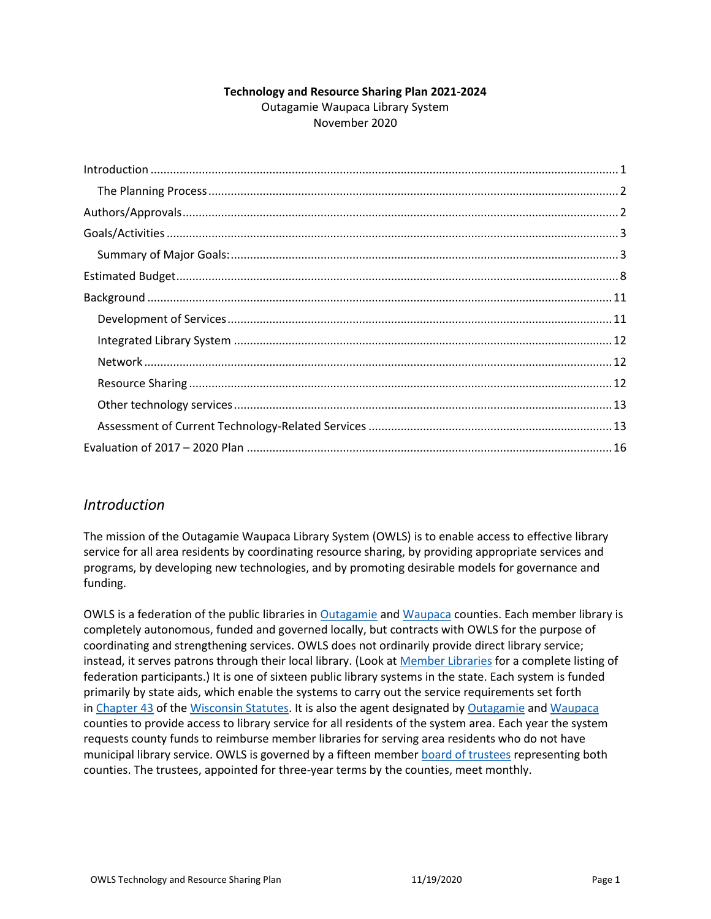#### **Technology and Resource Sharing Plan 2021-2024** Outagamie Waupaca Library System November 2020

| $\label{lem:1} \mbox{Introduction} \,\, \ldots \,\, \ldots \,\, \ldots \,\, \ldots \,\, \ldots \,\, \ldots \,\, \ldots \,\, \ldots \,\, \ldots \,\, \ldots \,\, \ldots \,\, \ldots \,\, \ldots \,\, \ldots \,\, \ldots \,\, \ldots \,\, \ldots \,\, \ldots \,\, \ldots \,\, \ldots \,\, \ldots \,\, \ldots \,\, \ldots \,\, \ldots \,\, \ldots \,\, \ldots \,\, \ldots \,\, \ldots \,\, \ldots \,\, \ldots \,\, \ldots \,\, \ldots \,\, \ldots \,\, \ldots \,\,$ |  |
|------------------------------------------------------------------------------------------------------------------------------------------------------------------------------------------------------------------------------------------------------------------------------------------------------------------------------------------------------------------------------------------------------------------------------------------------------------------|--|
|                                                                                                                                                                                                                                                                                                                                                                                                                                                                  |  |
|                                                                                                                                                                                                                                                                                                                                                                                                                                                                  |  |
|                                                                                                                                                                                                                                                                                                                                                                                                                                                                  |  |
|                                                                                                                                                                                                                                                                                                                                                                                                                                                                  |  |
|                                                                                                                                                                                                                                                                                                                                                                                                                                                                  |  |
|                                                                                                                                                                                                                                                                                                                                                                                                                                                                  |  |
|                                                                                                                                                                                                                                                                                                                                                                                                                                                                  |  |
|                                                                                                                                                                                                                                                                                                                                                                                                                                                                  |  |
|                                                                                                                                                                                                                                                                                                                                                                                                                                                                  |  |
|                                                                                                                                                                                                                                                                                                                                                                                                                                                                  |  |
|                                                                                                                                                                                                                                                                                                                                                                                                                                                                  |  |
|                                                                                                                                                                                                                                                                                                                                                                                                                                                                  |  |
|                                                                                                                                                                                                                                                                                                                                                                                                                                                                  |  |

### <span id="page-0-0"></span>*Introduction*

The mission of the Outagamie Waupaca Library System (OWLS) is to enable access to effective library service for all area residents by coordinating resource sharing, by providing appropriate services and programs, by developing new technologies, and by promoting desirable models for governance and funding.

OWLS is a federation of the public libraries in [Outagamie](http://www.outagamie.org/) and [Waupaca](http://www.co.waupaca.wi.us/) counties. Each member library is completely autonomous, funded and governed locally, but contracts with OWLS for the purpose of coordinating and strengthening services. OWLS does not ordinarily provide direct library service; instead, it serves patrons through their local library. (Look at [Member Libraries](https://www.owlsweb.org/owls/directory/) for a complete listing of federation participants.) It is one of sixteen public library systems in the state. Each system is funded primarily by state aids, which enable the systems to carry out the service requirements set forth in [Chapter 43](http://docs.legis.wisconsin.gov/statutes/statutes/43.pdf) of the [Wisconsin Statutes.](http://www.legis.state.wi.us/rsb/stats.html) It is also the agent designated by [Outagamie](http://www.outagamie.org/) and [Waupaca](http://www.co.waupaca.wi.us/) counties to provide access to library service for all residents of the system area. Each year the system requests county funds to reimburse member libraries for serving area residents who do not have municipal library service. OWLS is governed by a fifteen member [board of trustees](http://www.owlsweb.org/trustees) representing both counties. The trustees, appointed for three-year terms by the counties, meet monthly.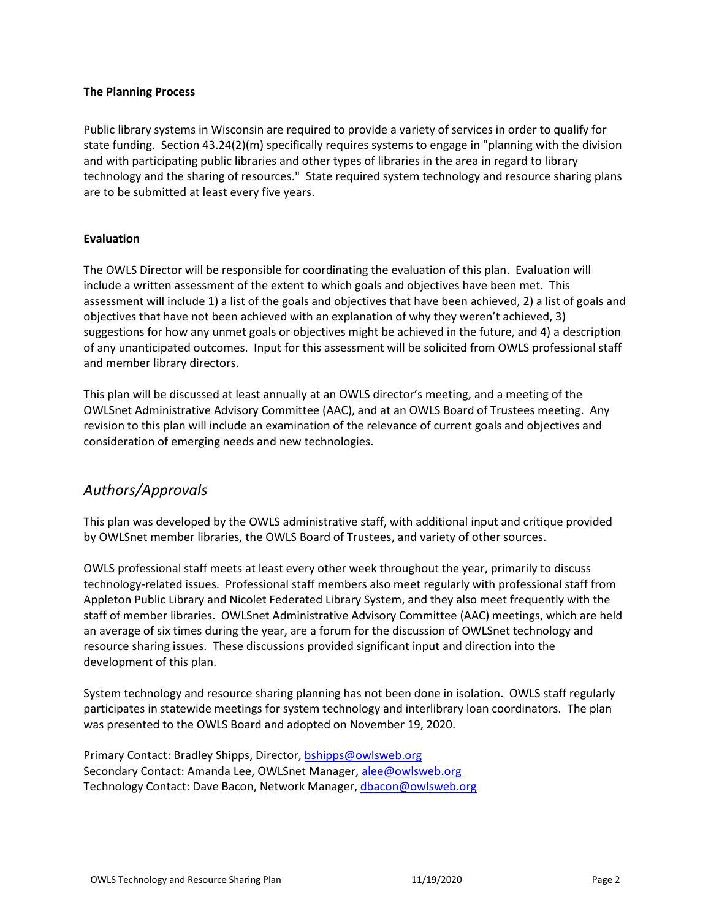#### <span id="page-1-0"></span>**The Planning Process**

Public library systems in Wisconsin are required to provide a variety of services in order to qualify for state funding. Section 43.24(2)(m) specifically requires systems to engage in "planning with the division and with participating public libraries and other types of libraries in the area in regard to library technology and the sharing of resources." State required system technology and resource sharing plans are to be submitted at least every five years.

#### **Evaluation**

The OWLS Director will be responsible for coordinating the evaluation of this plan. Evaluation will include a written assessment of the extent to which goals and objectives have been met. This assessment will include 1) a list of the goals and objectives that have been achieved, 2) a list of goals and objectives that have not been achieved with an explanation of why they weren't achieved, 3) suggestions for how any unmet goals or objectives might be achieved in the future, and 4) a description of any unanticipated outcomes. Input for this assessment will be solicited from OWLS professional staff and member library directors.

This plan will be discussed at least annually at an OWLS director's meeting, and a meeting of the OWLSnet Administrative Advisory Committee (AAC), and at an OWLS Board of Trustees meeting. Any revision to this plan will include an examination of the relevance of current goals and objectives and consideration of emerging needs and new technologies.

### <span id="page-1-1"></span>*Authors/Approvals*

This plan was developed by the OWLS administrative staff, with additional input and critique provided by OWLSnet member libraries, the OWLS Board of Trustees, and variety of other sources.

OWLS professional staff meets at least every other week throughout the year, primarily to discuss technology-related issues. Professional staff members also meet regularly with professional staff from Appleton Public Library and Nicolet Federated Library System, and they also meet frequently with the staff of member libraries. OWLSnet Administrative Advisory Committee (AAC) meetings, which are held an average of six times during the year, are a forum for the discussion of OWLSnet technology and resource sharing issues. These discussions provided significant input and direction into the development of this plan.

System technology and resource sharing planning has not been done in isolation. OWLS staff regularly participates in statewide meetings for system technology and interlibrary loan coordinators. The plan was presented to the OWLS Board and adopted on November 19, 2020.

Primary Contact: Bradley Shipps, Director, [bshipps@owlsweb.org](mailto:bshipps@owlsweb.org) Secondary Contact: Amanda Lee, OWLSnet Manager[, alee@owlsweb.org](mailto:alee@owlsweb.org) Technology Contact: Dave Bacon, Network Manager, [dbacon@owlsweb.org](mailto:dbacon@owlsweb.org)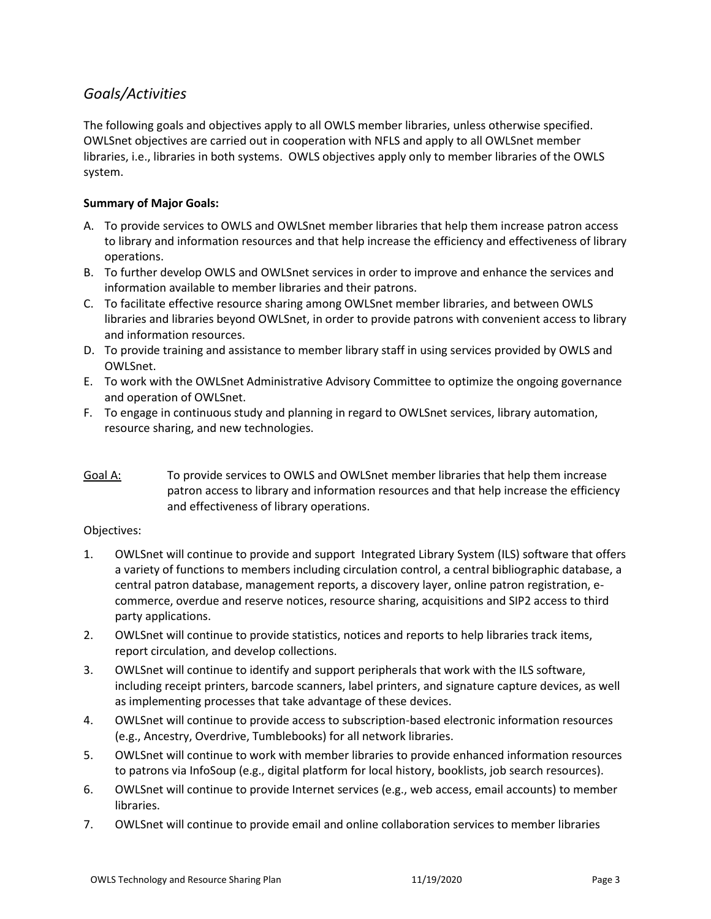## <span id="page-2-0"></span>*Goals/Activities*

The following goals and objectives apply to all OWLS member libraries, unless otherwise specified. OWLSnet objectives are carried out in cooperation with NFLS and apply to all OWLSnet member libraries, i.e., libraries in both systems. OWLS objectives apply only to member libraries of the OWLS system.

### <span id="page-2-1"></span>**Summary of Major Goals:**

- A. To provide services to OWLS and OWLSnet member libraries that help them increase patron access to library and information resources and that help increase the efficiency and effectiveness of library operations.
- B. To further develop OWLS and OWLSnet services in order to improve and enhance the services and information available to member libraries and their patrons.
- C. To facilitate effective resource sharing among OWLSnet member libraries, and between OWLS libraries and libraries beyond OWLSnet, in order to provide patrons with convenient access to library and information resources.
- D. [To provide training and assistance to member library staff in using services provided by OWLS and](#page-5-0)  [OWLSnet.](#page-5-0)
- E. To work with the OWLSnet Administrative Advisory Committee to optimize the ongoing governance and operation of OWLSnet.
- F. To engage in continuous study and planning in regard to OWLSnet services, library automation, resource sharing, and new technologies.
- Goal A: To provide services to OWLS and OWLSnet member libraries that help them increase patron access to library and information resources and that help increase the efficiency and effectiveness of library operations.

#### Objectives:

- 1. OWLSnet will continue to provide and support Integrated Library System (ILS) software that offers a variety of functions to members including circulation control, a central bibliographic database, a central patron database, management reports, a discovery layer, online patron registration, ecommerce, overdue and reserve notices, resource sharing, acquisitions and SIP2 access to third party applications.
- 2. OWLSnet will continue to provide statistics, notices and reports to help libraries track items, report circulation, and develop collections.
- 3. OWLSnet will continue to identify and support peripherals that work with the ILS software, including receipt printers, barcode scanners, label printers, and signature capture devices, as well as implementing processes that take advantage of these devices.
- 4. OWLSnet will continue to provide access to subscription-based electronic information resources (e.g., Ancestry, Overdrive, Tumblebooks) for all network libraries.
- 5. OWLSnet will continue to work with member libraries to provide enhanced information resources to patrons via InfoSoup (e.g., digital platform for local history, booklists, job search resources).
- 6. OWLSnet will continue to provide Internet services (e.g., web access, email accounts) to member libraries.
- 7. OWLSnet will continue to provide email and online collaboration services to member libraries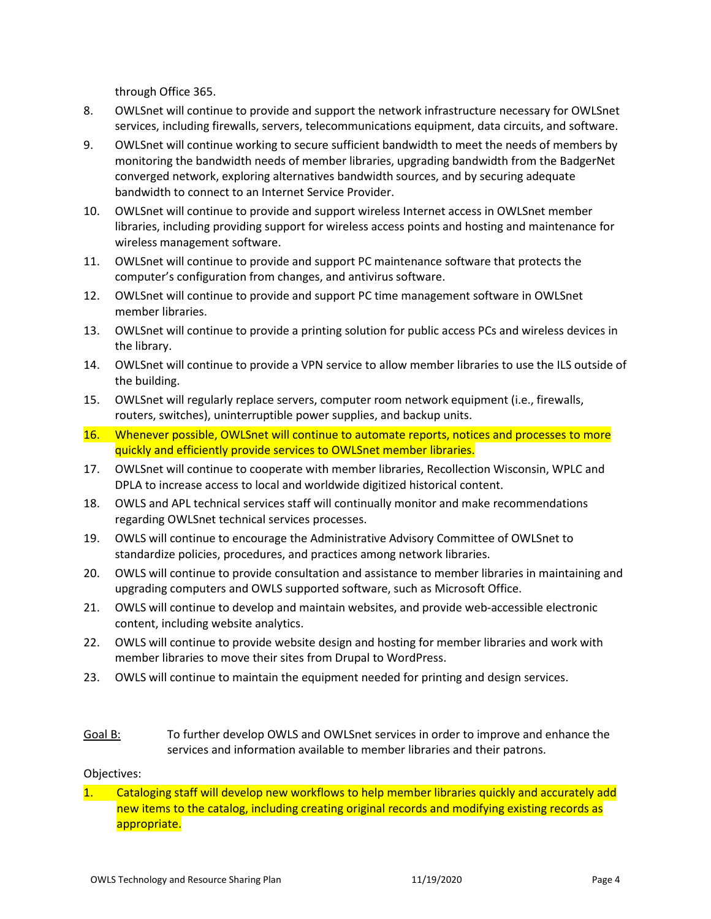through Office 365.

- 8. OWLSnet will continue to provide and support the network infrastructure necessary for OWLSnet services, including firewalls, servers, telecommunications equipment, data circuits, and software.
- 9. OWLSnet will continue working to secure sufficient bandwidth to meet the needs of members by monitoring the bandwidth needs of member libraries, upgrading bandwidth from the BadgerNet converged network, exploring alternatives bandwidth sources, and by securing adequate bandwidth to connect to an Internet Service Provider.
- 10. OWLSnet will continue to provide and support wireless Internet access in OWLSnet member libraries, including providing support for wireless access points and hosting and maintenance for wireless management software.
- 11. OWLSnet will continue to provide and support PC maintenance software that protects the computer's configuration from changes, and antivirus software.
- 12. OWLSnet will continue to provide and support PC time management software in OWLSnet member libraries.
- 13. OWLSnet will continue to provide a printing solution for public access PCs and wireless devices in the library.
- 14. OWLSnet will continue to provide a VPN service to allow member libraries to use the ILS outside of the building.
- 15. OWLSnet will regularly replace servers, computer room network equipment (i.e., firewalls, routers, switches), uninterruptible power supplies, and backup units.
- 16. Whenever possible, OWLSnet will continue to automate reports, notices and processes to more quickly and efficiently provide services to OWLSnet member libraries.
- 17. OWLSnet will continue to cooperate with member libraries, Recollection Wisconsin, WPLC and DPLA to increase access to local and worldwide digitized historical content.
- 18. OWLS and APL technical services staff will continually monitor and make recommendations regarding OWLSnet technical services processes.
- 19. OWLS will continue to encourage the Administrative Advisory Committee of OWLSnet to standardize policies, procedures, and practices among network libraries.
- 20. OWLS will continue to provide consultation and assistance to member libraries in maintaining and upgrading computers and OWLS supported software, such as Microsoft Office.
- 21. OWLS will continue to develop and maintain websites, and provide web-accessible electronic content, including website analytics.
- 22. OWLS will continue to provide website design and hosting for member libraries and work with member libraries to move their sites from Drupal to WordPress.
- 23. OWLS will continue to maintain the equipment needed for printing and design services.
- Goal B: To further develop OWLS and OWLSnet services in order to improve and enhance the services and information available to member libraries and their patrons.

#### Objectives:

1. Cataloging staff will develop new workflows to help member libraries quickly and accurately add new items to the catalog, including creating original records and modifying existing records as appropriate.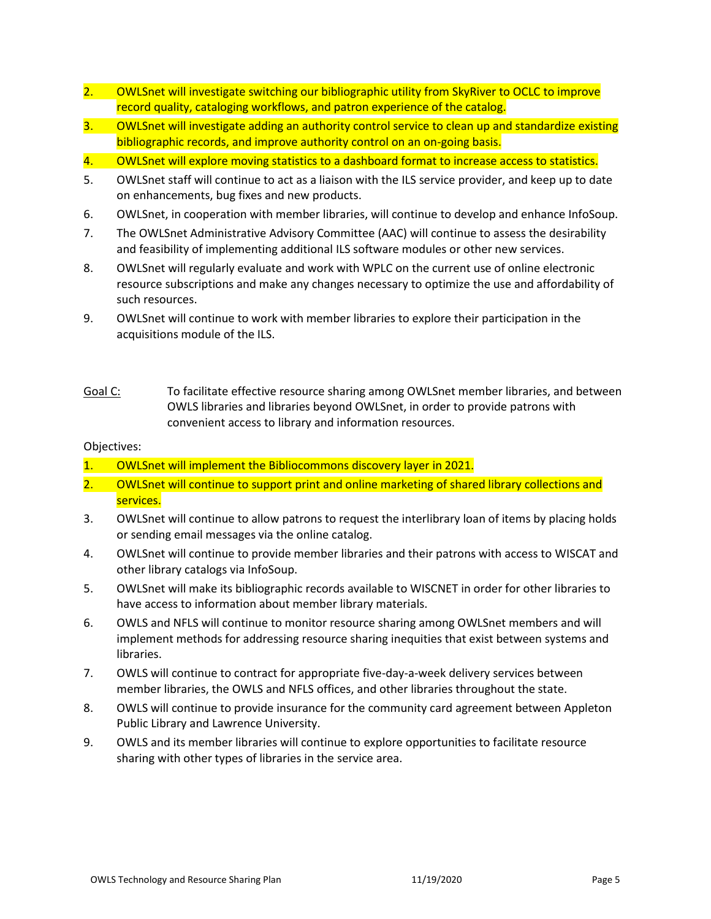- 2. OWLSnet will investigate switching our bibliographic utility from SkyRiver to OCLC to improve record quality, cataloging workflows, and patron experience of the catalog.
- 3. OWLSnet will investigate adding an authority control service to clean up and standardize existing bibliographic records, and improve authority control on an on-going basis.
- 4. OWLSnet will explore moving statistics to a dashboard format to increase access to statistics.
- 5. OWLSnet staff will continue to act as a liaison with the ILS service provider, and keep up to date on enhancements, bug fixes and new products.
- 6. OWLSnet, in cooperation with member libraries, will continue to develop and enhance InfoSoup.
- 7. The OWLSnet Administrative Advisory Committee (AAC) will continue to assess the desirability and feasibility of implementing additional ILS software modules or other new services.
- 8. OWLSnet will regularly evaluate and work with WPLC on the current use of online electronic resource subscriptions and make any changes necessary to optimize the use and affordability of such resources.
- 9. OWLSnet will continue to work with member libraries to explore their participation in the acquisitions module of the ILS.
- Goal C: To facilitate effective resource sharing among OWLSnet member libraries, and between OWLS libraries and libraries beyond OWLSnet, in order to provide patrons with convenient access to library and information resources.

#### Objectives:

- 1. OWLSnet will implement the Bibliocommons discovery layer in 2021.
- 2. OWLSnet will continue to support print and online marketing of shared library collections and services.
- 3. OWLSnet will continue to allow patrons to request the interlibrary loan of items by placing holds or sending email messages via the online catalog.
- 4. OWLSnet will continue to provide member libraries and their patrons with access to WISCAT and other library catalogs via InfoSoup.
- 5. OWLSnet will make its bibliographic records available to WISCNET in order for other libraries to have access to information about member library materials.
- 6. OWLS and NFLS will continue to monitor resource sharing among OWLSnet members and will implement methods for addressing resource sharing inequities that exist between systems and libraries.
- 7. OWLS will continue to contract for appropriate five-day-a-week delivery services between member libraries, the OWLS and NFLS offices, and other libraries throughout the state.
- 8. OWLS will continue to provide insurance for the community card agreement between Appleton Public Library and Lawrence University.
- 9. OWLS and its member libraries will continue to explore opportunities to facilitate resource sharing with other types of libraries in the service area.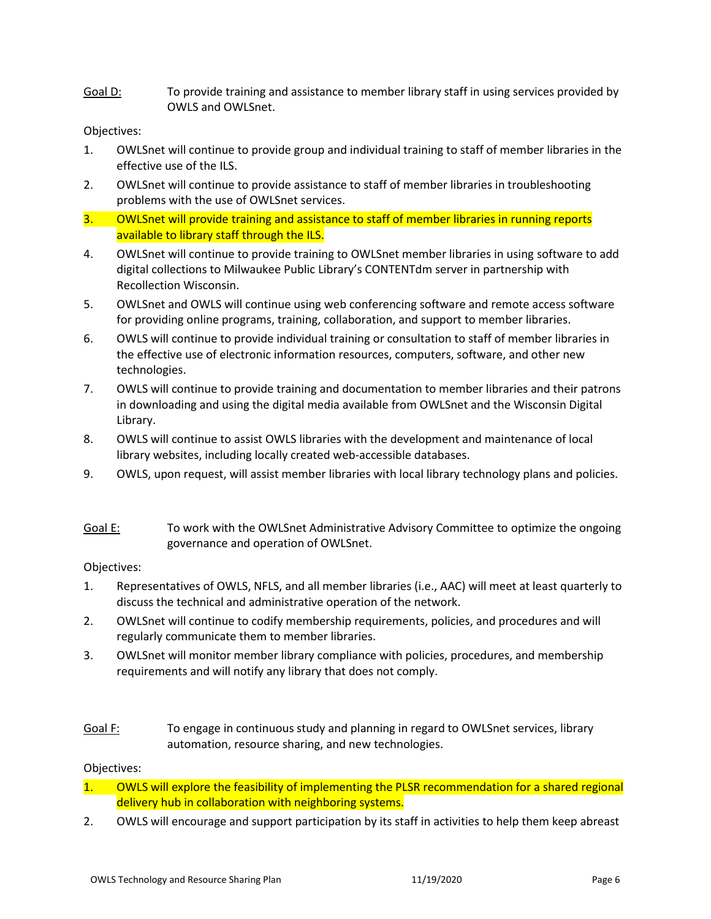<span id="page-5-0"></span>Goal D: To provide training and assistance to member library staff in using services provided by OWLS and OWLSnet.

#### Objectives:

- 1. OWLSnet will continue to provide group and individual training to staff of member libraries in the effective use of the ILS.
- 2. OWLSnet will continue to provide assistance to staff of member libraries in troubleshooting problems with the use of OWLSnet services.
- 3. OWLSnet will provide training and assistance to staff of member libraries in running reports available to library staff through the ILS.
- 4. OWLSnet will continue to provide training to OWLSnet member libraries in using software to add digital collections to Milwaukee Public Library's CONTENTdm server in partnership with Recollection Wisconsin.
- 5. OWLSnet and OWLS will continue using web conferencing software and remote access software for providing online programs, training, collaboration, and support to member libraries.
- 6. OWLS will continue to provide individual training or consultation to staff of member libraries in the effective use of electronic information resources, computers, software, and other new technologies.
- 7. OWLS will continue to provide training and documentation to member libraries and their patrons in downloading and using the digital media available from OWLSnet and the Wisconsin Digital Library.
- 8. OWLS will continue to assist OWLS libraries with the development and maintenance of local library websites, including locally created web-accessible databases.
- 9. OWLS, upon request, will assist member libraries with local library technology plans and policies.
- Goal E: To work with the OWLSnet Administrative Advisory Committee to optimize the ongoing governance and operation of OWLSnet.

#### Objectives:

- 1. Representatives of OWLS, NFLS, and all member libraries (i.e., AAC) will meet at least quarterly to discuss the technical and administrative operation of the network.
- 2. OWLSnet will continue to codify membership requirements, policies, and procedures and will regularly communicate them to member libraries.
- 3. OWLSnet will monitor member library compliance with policies, procedures, and membership requirements and will notify any library that does not comply.
- Goal F: To engage in continuous study and planning in regard to OWLSnet services, library automation, resource sharing, and new technologies.

#### Objectives:

- 1. OWLS will explore the feasibility of implementing the PLSR recommendation for a shared regional delivery hub in collaboration with neighboring systems.
- 2. OWLS will encourage and support participation by its staff in activities to help them keep abreast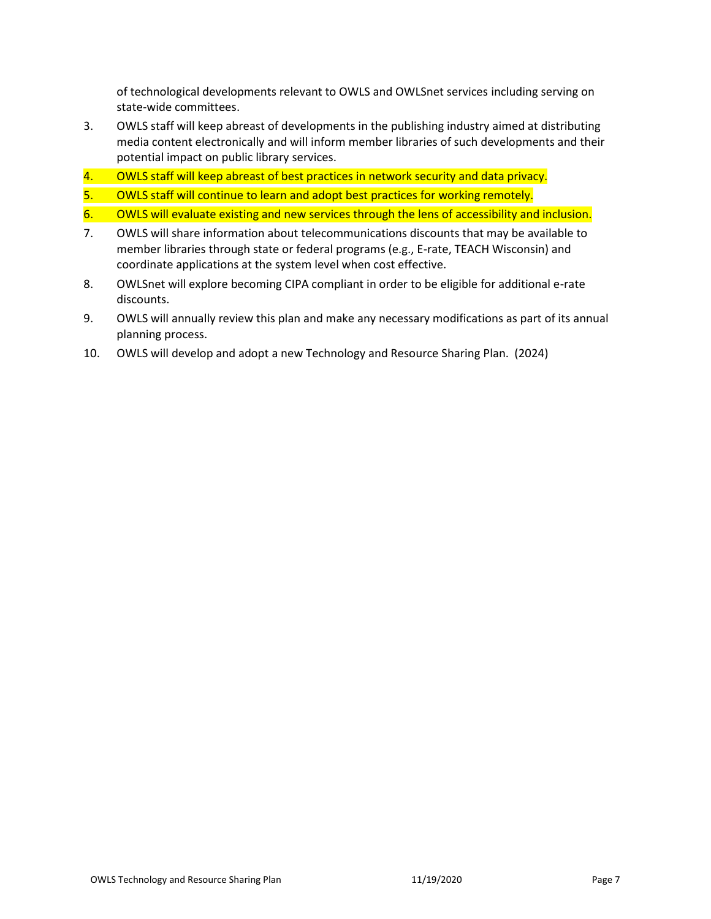of technological developments relevant to OWLS and OWLSnet services including serving on state-wide committees.

- 3. OWLS staff will keep abreast of developments in the publishing industry aimed at distributing media content electronically and will inform member libraries of such developments and their potential impact on public library services.
- 4. OWLS staff will keep abreast of best practices in network security and data privacy.
- 5. OWLS staff will continue to learn and adopt best practices for working remotely.
- 6. OWLS will evaluate existing and new services through the lens of accessibility and inclusion.
- 7. OWLS will share information about telecommunications discounts that may be available to member libraries through state or federal programs (e.g., E-rate, TEACH Wisconsin) and coordinate applications at the system level when cost effective.
- 8. OWLSnet will explore becoming CIPA compliant in order to be eligible for additional e-rate discounts.
- 9. OWLS will annually review this plan and make any necessary modifications as part of its annual planning process.
- 10. OWLS will develop and adopt a new Technology and Resource Sharing Plan. (2024)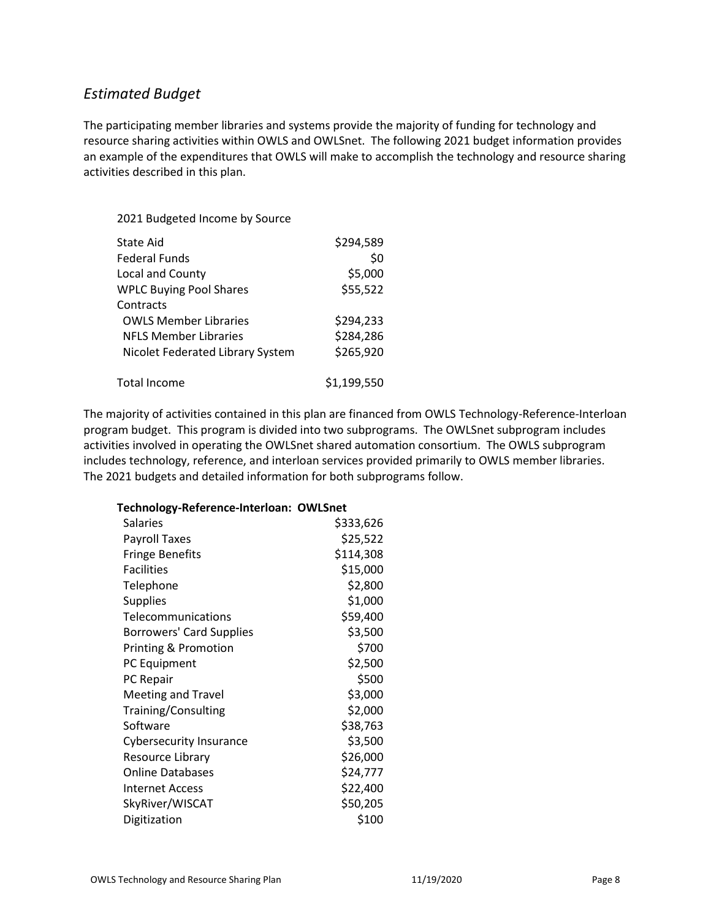### <span id="page-7-0"></span>*Estimated Budget*

The participating member libraries and systems provide the majority of funding for technology and resource sharing activities within OWLS and OWLSnet. The following 2021 budget information provides an example of the expenditures that OWLS will make to accomplish the technology and resource sharing activities described in this plan.

#### 2021 Budgeted Income by Source

| State Aid                        | \$294,589   |
|----------------------------------|-------------|
| Federal Funds                    | \$0         |
| Local and County                 | \$5,000     |
| <b>WPLC Buying Pool Shares</b>   | \$55,522    |
| Contracts                        |             |
| <b>OWLS Member Libraries</b>     | \$294,233   |
| <b>NFLS Member Libraries</b>     | \$284,286   |
| Nicolet Federated Library System | \$265,920   |
| Total Income                     | \$1,199,550 |

The majority of activities contained in this plan are financed from OWLS Technology-Reference-Interloan program budget. This program is divided into two subprograms. The OWLSnet subprogram includes activities involved in operating the OWLSnet shared automation consortium. The OWLS subprogram includes technology, reference, and interloan services provided primarily to OWLS member libraries. The 2021 budgets and detailed information for both subprograms follow.

#### **Technology-Reference-Interloan: OWLSnet**

| <b>Salaries</b>                 | \$333,626 |
|---------------------------------|-----------|
| <b>Payroll Taxes</b>            | \$25,522  |
| <b>Fringe Benefits</b>          | \$114,308 |
| <b>Facilities</b>               | \$15,000  |
| Telephone                       | \$2,800   |
| <b>Supplies</b>                 | \$1,000   |
| Telecommunications              | \$59,400  |
| <b>Borrowers' Card Supplies</b> | \$3,500   |
| <b>Printing &amp; Promotion</b> | \$700     |
| PC Equipment                    | \$2,500   |
| PC Repair                       | \$500     |
| <b>Meeting and Travel</b>       | \$3,000   |
| Training/Consulting             | \$2,000   |
| Software                        | \$38,763  |
| <b>Cybersecurity Insurance</b>  | \$3,500   |
| Resource Library                | \$26,000  |
| <b>Online Databases</b>         | \$24,777  |
| <b>Internet Access</b>          | \$22,400  |
| SkyRiver/WISCAT                 | \$50,205  |
| Digitization                    | \$100     |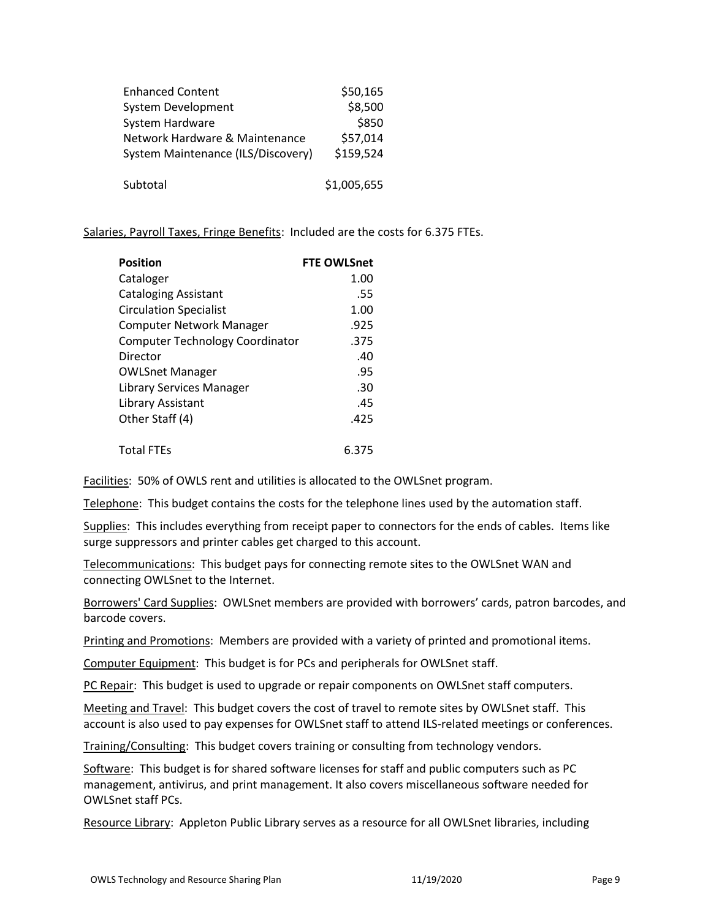| <b>Enhanced Content</b>            | \$50,165    |
|------------------------------------|-------------|
| System Development                 | \$8,500     |
| System Hardware                    | \$850       |
| Network Hardware & Maintenance     | \$57,014    |
| System Maintenance (ILS/Discovery) | \$159,524   |
| Subtotal                           | \$1,005,655 |

Salaries, Payroll Taxes, Fringe Benefits: Included are the costs for 6.375 FTEs.

| <b>Position</b>                        | <b>FTE OWLSnet</b> |
|----------------------------------------|--------------------|
| Cataloger                              | 1.00               |
| Cataloging Assistant                   | .55                |
| <b>Circulation Specialist</b>          | 1.00               |
| <b>Computer Network Manager</b>        | .925               |
| <b>Computer Technology Coordinator</b> | .375               |
| Director                               | .40                |
| <b>OWLSnet Manager</b>                 | .95                |
| Library Services Manager               | .30                |
| Library Assistant                      | .45                |
| Other Staff (4)                        | .425               |
| <b>Total FTEs</b>                      | 6.375              |

Facilities: 50% of OWLS rent and utilities is allocated to the OWLSnet program.

Telephone: This budget contains the costs for the telephone lines used by the automation staff.

Supplies: This includes everything from receipt paper to connectors for the ends of cables. Items like surge suppressors and printer cables get charged to this account.

Telecommunications: This budget pays for connecting remote sites to the OWLSnet WAN and connecting OWLSnet to the Internet.

Borrowers' Card Supplies: OWLSnet members are provided with borrowers' cards, patron barcodes, and barcode covers.

Printing and Promotions: Members are provided with a variety of printed and promotional items.

Computer Equipment: This budget is for PCs and peripherals for OWLSnet staff.

PC Repair: This budget is used to upgrade or repair components on OWLSnet staff computers.

Meeting and Travel: This budget covers the cost of travel to remote sites by OWLSnet staff. This account is also used to pay expenses for OWLSnet staff to attend ILS-related meetings or conferences.

Training/Consulting: This budget covers training or consulting from technology vendors.

Software: This budget is for shared software licenses for staff and public computers such as PC management, antivirus, and print management. It also covers miscellaneous software needed for OWLSnet staff PCs.

Resource Library: Appleton Public Library serves as a resource for all OWLSnet libraries, including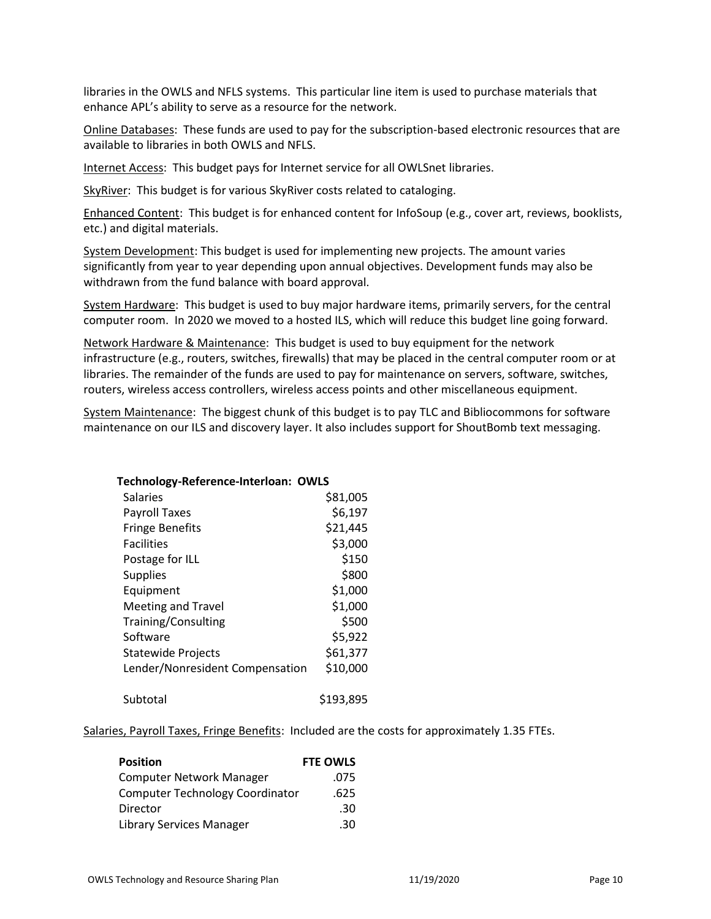libraries in the OWLS and NFLS systems. This particular line item is used to purchase materials that enhance APL's ability to serve as a resource for the network.

Online Databases: These funds are used to pay for the subscription-based electronic resources that are available to libraries in both OWLS and NFLS.

Internet Access: This budget pays for Internet service for all OWLSnet libraries.

SkyRiver: This budget is for various SkyRiver costs related to cataloging.

Enhanced Content: This budget is for enhanced content for InfoSoup (e.g., cover art, reviews, booklists, etc.) and digital materials.

System Development: This budget is used for implementing new projects. The amount varies significantly from year to year depending upon annual objectives. Development funds may also be withdrawn from the fund balance with board approval.

System Hardware: This budget is used to buy major hardware items, primarily servers, for the central computer room. In 2020 we moved to a hosted ILS, which will reduce this budget line going forward.

Network Hardware & Maintenance: This budget is used to buy equipment for the network infrastructure (e.g., routers, switches, firewalls) that may be placed in the central computer room or at libraries. The remainder of the funds are used to pay for maintenance on servers, software, switches, routers, wireless access controllers, wireless access points and other miscellaneous equipment.

System Maintenance: The biggest chunk of this budget is to pay TLC and Bibliocommons for software maintenance on our ILS and discovery layer. It also includes support for ShoutBomb text messaging.

| Technology-Reference-Interloan: OWLS |           |
|--------------------------------------|-----------|
| Salaries                             | \$81,005  |
| <b>Payroll Taxes</b>                 | \$6,197   |
| <b>Fringe Benefits</b>               | \$21,445  |
| <b>Facilities</b>                    | \$3,000   |
| Postage for ILL                      | \$150     |
| <b>Supplies</b>                      | \$800     |
| Equipment                            | \$1,000   |
| <b>Meeting and Travel</b>            | \$1,000   |
| Training/Consulting                  | \$500     |
| Software                             | \$5,922   |
| <b>Statewide Projects</b>            | \$61,377  |
| Lender/Nonresident Compensation      | \$10,000  |
| Subtotal                             | \$193,895 |

#### Salaries, Payroll Taxes, Fringe Benefits: Included are the costs for approximately 1.35 FTEs.

| <b>Position</b>                        | <b>FTE OWLS</b> |
|----------------------------------------|-----------------|
| <b>Computer Network Manager</b>        | .075            |
| <b>Computer Technology Coordinator</b> | .625            |
| Director                               | .30             |
| Library Services Manager               | .30             |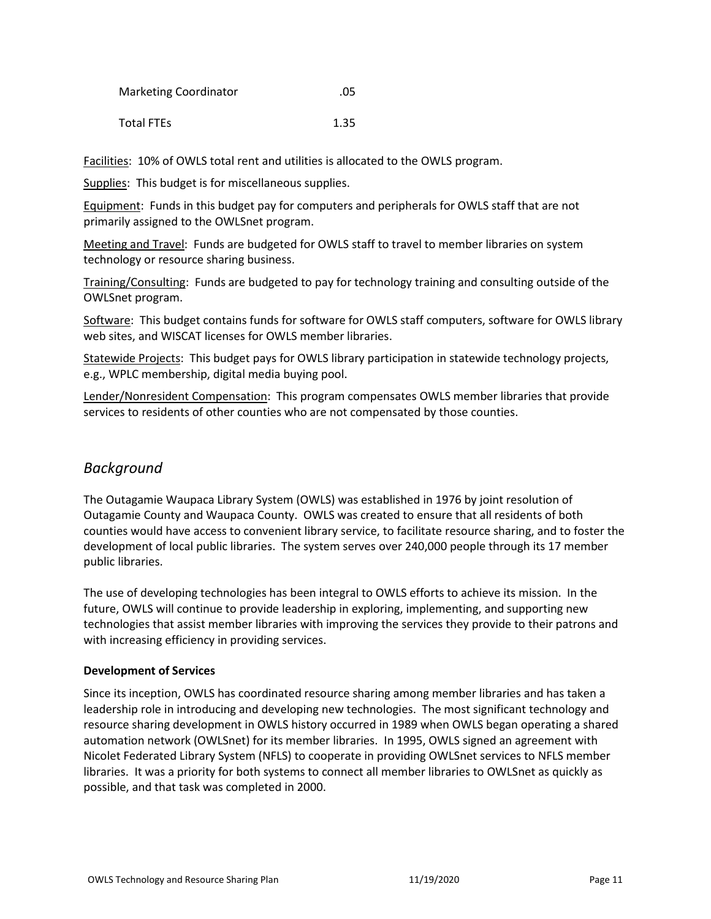| <b>Marketing Coordinator</b> | .05 |
|------------------------------|-----|
|------------------------------|-----|

Total FTEs
1.35

Facilities: 10% of OWLS total rent and utilities is allocated to the OWLS program.

Supplies: This budget is for miscellaneous supplies.

Equipment: Funds in this budget pay for computers and peripherals for OWLS staff that are not primarily assigned to the OWLSnet program.

Meeting and Travel: Funds are budgeted for OWLS staff to travel to member libraries on system technology or resource sharing business.

Training/Consulting: Funds are budgeted to pay for technology training and consulting outside of the OWLSnet program.

Software: This budget contains funds for software for OWLS staff computers, software for OWLS library web sites, and WISCAT licenses for OWLS member libraries.

Statewide Projects: This budget pays for OWLS library participation in statewide technology projects, e.g., WPLC membership, digital media buying pool.

Lender/Nonresident Compensation: This program compensates OWLS member libraries that provide services to residents of other counties who are not compensated by those counties.

### <span id="page-10-0"></span>*Background*

The Outagamie Waupaca Library System (OWLS) was established in 1976 by joint resolution of Outagamie County and Waupaca County. OWLS was created to ensure that all residents of both counties would have access to convenient library service, to facilitate resource sharing, and to foster the development of local public libraries. The system serves over 240,000 people through its 17 member public libraries.

The use of developing technologies has been integral to OWLS efforts to achieve its mission. In the future, OWLS will continue to provide leadership in exploring, implementing, and supporting new technologies that assist member libraries with improving the services they provide to their patrons and with increasing efficiency in providing services.

#### <span id="page-10-1"></span>**Development of Services**

Since its inception, OWLS has coordinated resource sharing among member libraries and has taken a leadership role in introducing and developing new technologies. The most significant technology and resource sharing development in OWLS history occurred in 1989 when OWLS began operating a shared automation network (OWLSnet) for its member libraries. In 1995, OWLS signed an agreement with Nicolet Federated Library System (NFLS) to cooperate in providing OWLSnet services to NFLS member libraries. It was a priority for both systems to connect all member libraries to OWLSnet as quickly as possible, and that task was completed in 2000.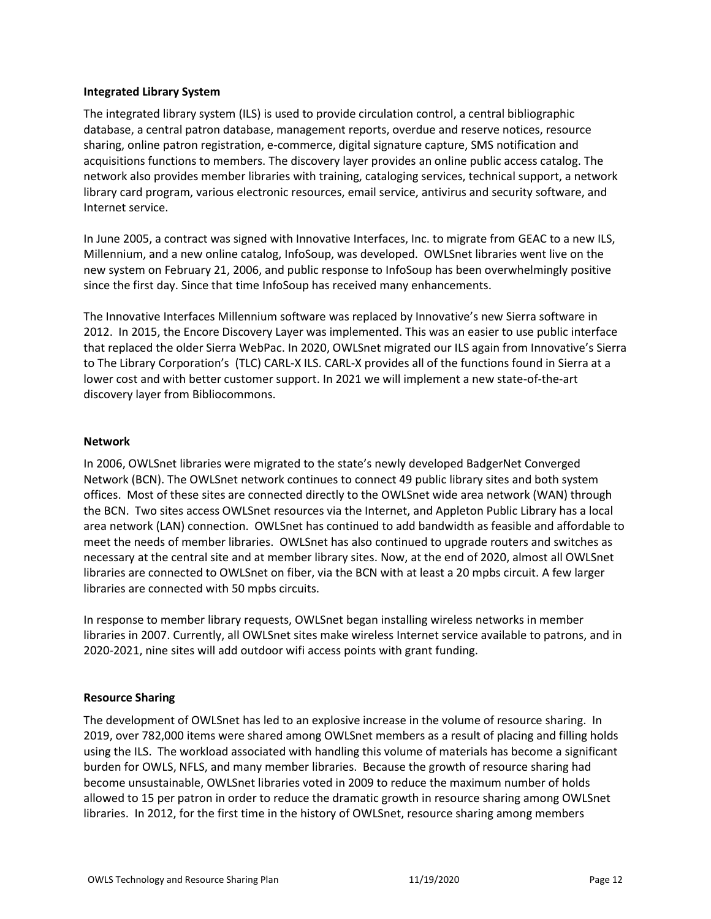#### <span id="page-11-0"></span>**Integrated Library System**

The integrated library system (ILS) is used to provide circulation control, a central bibliographic database, a central patron database, management reports, overdue and reserve notices, resource sharing, online patron registration, e-commerce, digital signature capture, SMS notification and acquisitions functions to members. The discovery layer provides an online public access catalog. The network also provides member libraries with training, cataloging services, technical support, a network library card program, various electronic resources, email service, antivirus and security software, and Internet service.

In June 2005, a contract was signed with Innovative Interfaces, Inc. to migrate from GEAC to a new ILS, Millennium, and a new online catalog, InfoSoup, was developed. OWLSnet libraries went live on the new system on February 21, 2006, and public response to InfoSoup has been overwhelmingly positive since the first day. Since that time InfoSoup has received many enhancements.

The Innovative Interfaces Millennium software was replaced by Innovative's new Sierra software in 2012. In 2015, the Encore Discovery Layer was implemented. This was an easier to use public interface that replaced the older Sierra WebPac. In 2020, OWLSnet migrated our ILS again from Innovative's Sierra to The Library Corporation's (TLC) CARL-X ILS. CARL-X provides all of the functions found in Sierra at a lower cost and with better customer support. In 2021 we will implement a new state-of-the-art discovery layer from Bibliocommons.

#### <span id="page-11-1"></span>**Network**

In 2006, OWLSnet libraries were migrated to the state's newly developed BadgerNet Converged Network (BCN). The OWLSnet network continues to connect 49 public library sites and both system offices. Most of these sites are connected directly to the OWLSnet wide area network (WAN) through the BCN. Two sites access OWLSnet resources via the Internet, and Appleton Public Library has a local area network (LAN) connection. OWLSnet has continued to add bandwidth as feasible and affordable to meet the needs of member libraries. OWLSnet has also continued to upgrade routers and switches as necessary at the central site and at member library sites. Now, at the end of 2020, almost all OWLSnet libraries are connected to OWLSnet on fiber, via the BCN with at least a 20 mpbs circuit. A few larger libraries are connected with 50 mpbs circuits.

In response to member library requests, OWLSnet began installing wireless networks in member libraries in 2007. Currently, all OWLSnet sites make wireless Internet service available to patrons, and in 2020-2021, nine sites will add outdoor wifi access points with grant funding.

#### <span id="page-11-2"></span>**Resource Sharing**

The development of OWLSnet has led to an explosive increase in the volume of resource sharing. In 2019, over 782,000 items were shared among OWLSnet members as a result of placing and filling holds using the ILS. The workload associated with handling this volume of materials has become a significant burden for OWLS, NFLS, and many member libraries. Because the growth of resource sharing had become unsustainable, OWLSnet libraries voted in 2009 to reduce the maximum number of holds allowed to 15 per patron in order to reduce the dramatic growth in resource sharing among OWLSnet libraries. In 2012, for the first time in the history of OWLSnet, resource sharing among members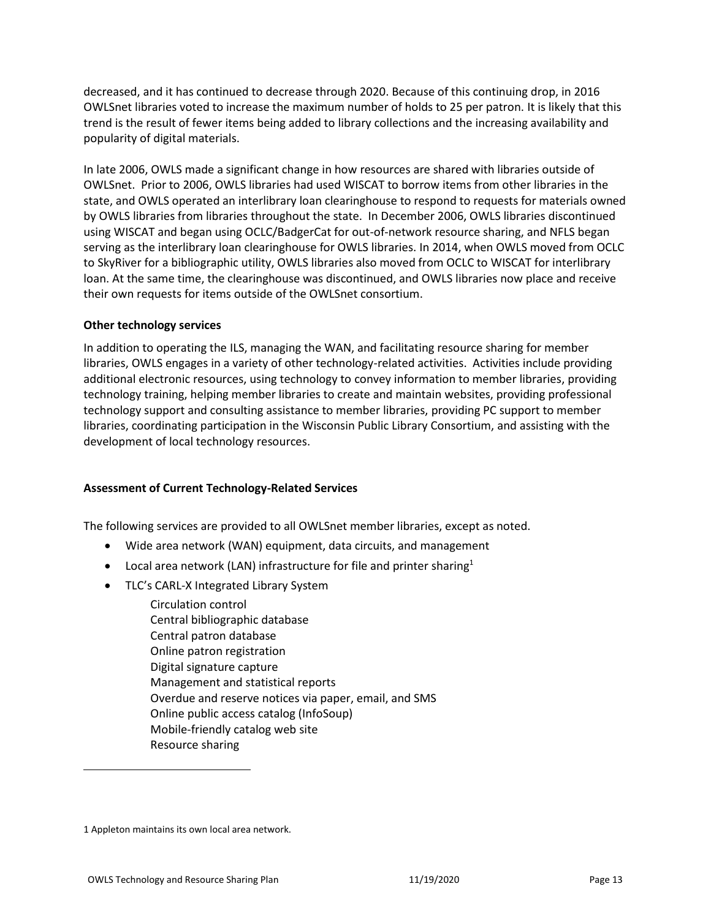decreased, and it has continued to decrease through 2020. Because of this continuing drop, in 2016 OWLSnet libraries voted to increase the maximum number of holds to 25 per patron. It is likely that this trend is the result of fewer items being added to library collections and the increasing availability and popularity of digital materials.

In late 2006, OWLS made a significant change in how resources are shared with libraries outside of OWLSnet. Prior to 2006, OWLS libraries had used WISCAT to borrow items from other libraries in the state, and OWLS operated an interlibrary loan clearinghouse to respond to requests for materials owned by OWLS libraries from libraries throughout the state. In December 2006, OWLS libraries discontinued using WISCAT and began using OCLC/BadgerCat for out-of-network resource sharing, and NFLS began serving as the interlibrary loan clearinghouse for OWLS libraries. In 2014, when OWLS moved from OCLC to SkyRiver for a bibliographic utility, OWLS libraries also moved from OCLC to WISCAT for interlibrary loan. At the same time, the clearinghouse was discontinued, and OWLS libraries now place and receive their own requests for items outside of the OWLSnet consortium.

#### <span id="page-12-0"></span>**Other technology services**

In addition to operating the ILS, managing the WAN, and facilitating resource sharing for member libraries, OWLS engages in a variety of other technology-related activities. Activities include providing additional electronic resources, using technology to convey information to member libraries, providing technology training, helping member libraries to create and maintain websites, providing professional technology support and consulting assistance to member libraries, providing PC support to member libraries, coordinating participation in the Wisconsin Public Library Consortium, and assisting with the development of local technology resources.

#### <span id="page-12-1"></span>**Assessment of Current Technology-Related Services**

The following services are provided to all OWLSnet member libraries, except as noted.

- Wide area network (WAN) equipment, data circuits, and management
- Local area network (LAN) infrastructure for file and printer sharing<sup>1</sup>
- TLC's CARL-X Integrated Library System
	- Circulation control Central bibliographic database Central patron database Online patron registration Digital signature capture Management and statistical reports Overdue and reserve notices via paper, email, and SMS Online public access catalog (InfoSoup) Mobile-friendly catalog web site Resource sharing

<sup>1</sup> Appleton maintains its own local area network.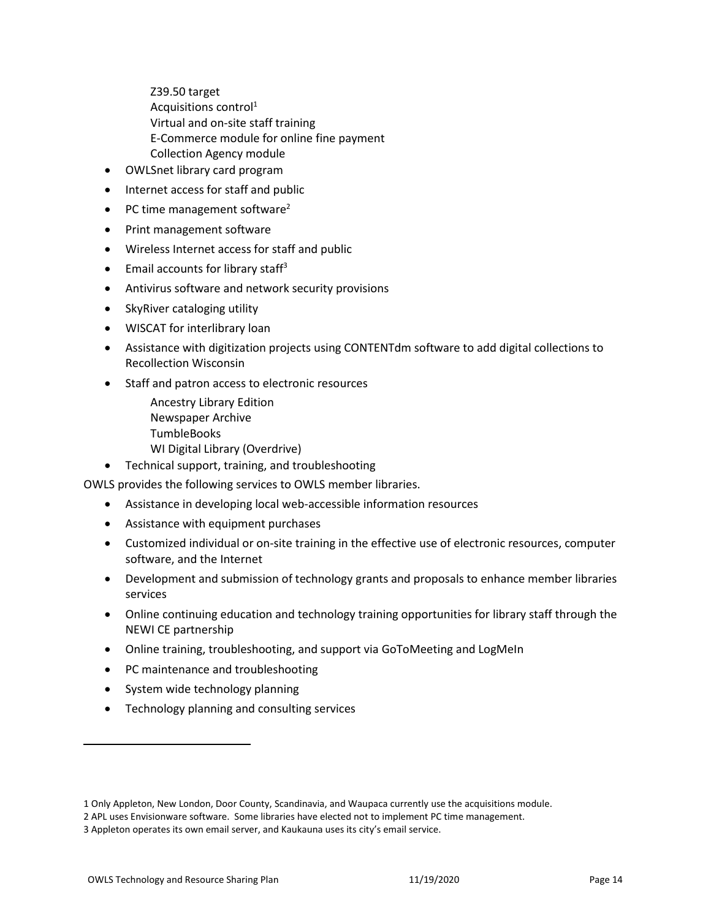Z39.50 target Acquisitions control<sup>1</sup> Virtual and on-site staff training E-Commerce module for online fine payment Collection Agency module

- OWLSnet library card program
- Internet access for staff and public
- PC time management software<sup>2</sup>
- Print management software
- Wireless Internet access for staff and public
- Email accounts for library staff<sup>3</sup>
- Antivirus software and network security provisions
- SkyRiver cataloging utility
- WISCAT for interlibrary loan
- Assistance with digitization projects using CONTENTdm software to add digital collections to Recollection Wisconsin
- Staff and patron access to electronic resources
	- Ancestry Library Edition Newspaper Archive TumbleBooks WI Digital Library (Overdrive)
- Technical support, training, and troubleshooting

OWLS provides the following services to OWLS member libraries.

- Assistance in developing local web-accessible information resources
- Assistance with equipment purchases
- Customized individual or on-site training in the effective use of electronic resources, computer software, and the Internet
- Development and submission of technology grants and proposals to enhance member libraries services
- Online continuing education and technology training opportunities for library staff through the NEWI CE partnership
- Online training, troubleshooting, and support via GoToMeeting and LogMeIn
- PC maintenance and troubleshooting
- System wide technology planning
- Technology planning and consulting services

<sup>1</sup> Only Appleton, New London, Door County, Scandinavia, and Waupaca currently use the acquisitions module.

<sup>2</sup> APL uses Envisionware software. Some libraries have elected not to implement PC time management.

<sup>3</sup> Appleton operates its own email server, and Kaukauna uses its city's email service.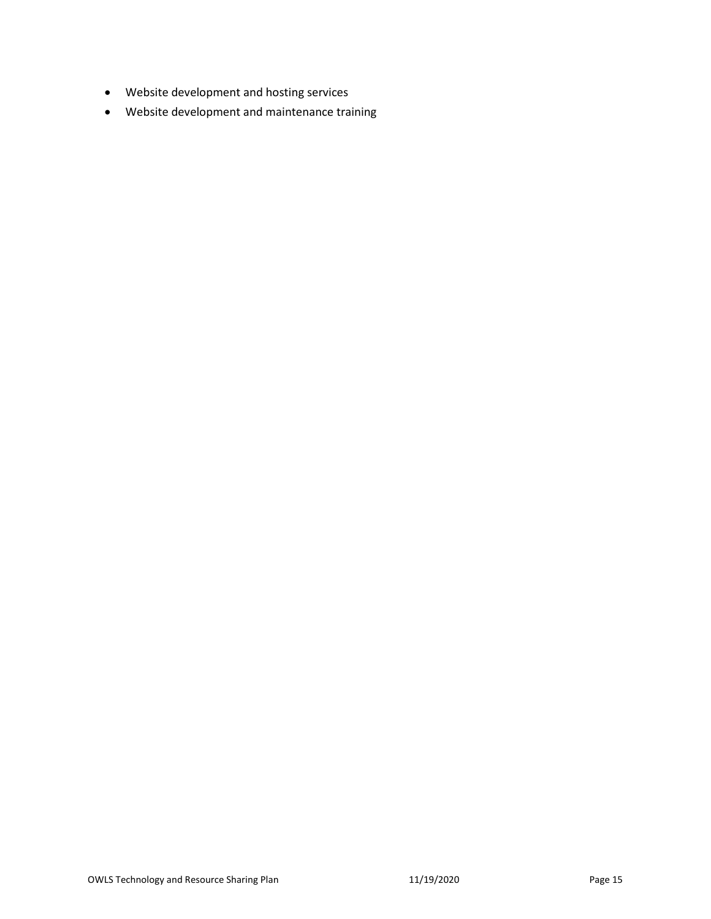- Website development and hosting services
- Website development and maintenance training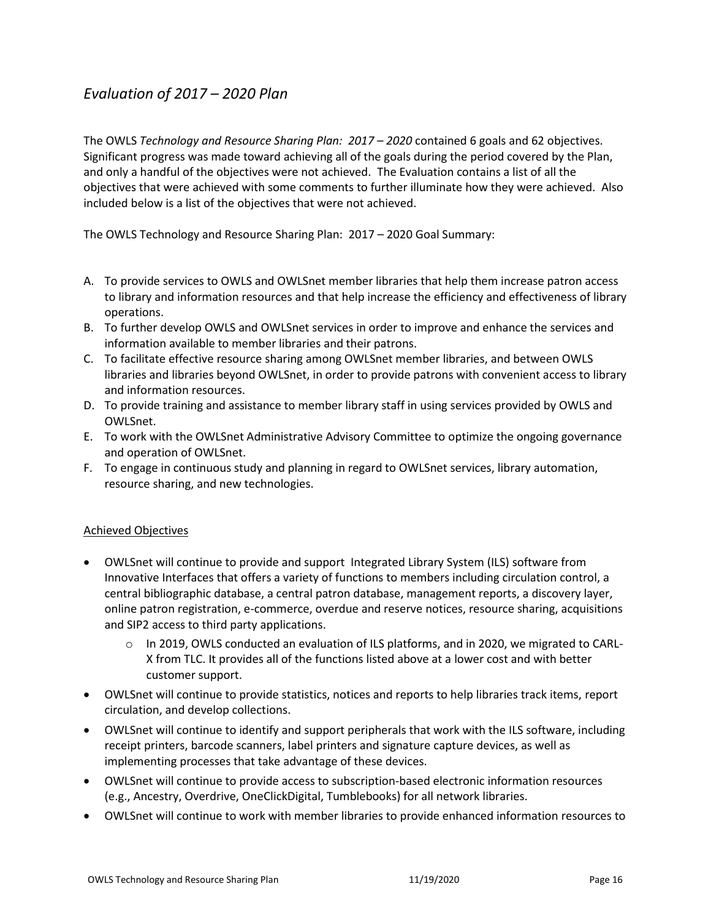# <span id="page-15-0"></span>*Evaluation of 2017 – 2020 Plan*

The OWLS *Technology and Resource Sharing Plan: 2017 – 2020* contained 6 goals and 62 objectives. Significant progress was made toward achieving all of the goals during the period covered by the Plan, and only a handful of the objectives were not achieved. The Evaluation contains a list of all the objectives that were achieved with some comments to further illuminate how they were achieved. Also included below is a list of the objectives that were not achieved.

The OWLS Technology and Resource Sharing Plan: 2017 – 2020 Goal Summary:

- A. To provide services to OWLS and OWLSnet member libraries that help them increase patron access to library and information resources and that help increase the efficiency and effectiveness of library operations.
- B. To further develop OWLS and OWLSnet services in order to improve and enhance the services and information available to member libraries and their patrons.
- C. To facilitate effective resource sharing among OWLSnet member libraries, and between OWLS libraries and libraries beyond OWLSnet, in order to provide patrons with convenient access to library and information resources.
- D. [To provide training and assistance to member library staff in using services provided by OWLS and](#page-5-0)  [OWLSnet.](#page-5-0)
- E. To work with the OWLSnet Administrative Advisory Committee to optimize the ongoing governance and operation of OWLSnet.
- F. To engage in continuous study and planning in regard to OWLSnet services, library automation, resource sharing, and new technologies.

#### Achieved Objectives

- OWLSnet will continue to provide and support Integrated Library System (ILS) software from Innovative Interfaces that offers a variety of functions to members including circulation control, a central bibliographic database, a central patron database, management reports, a discovery layer, online patron registration, e-commerce, overdue and reserve notices, resource sharing, acquisitions and SIP2 access to third party applications.
	- $\circ$  In 2019, OWLS conducted an evaluation of ILS platforms, and in 2020, we migrated to CARL-X from TLC. It provides all of the functions listed above at a lower cost and with better customer support.
- OWLSnet will continue to provide statistics, notices and reports to help libraries track items, report circulation, and develop collections.
- OWLSnet will continue to identify and support peripherals that work with the ILS software, including receipt printers, barcode scanners, label printers and signature capture devices, as well as implementing processes that take advantage of these devices.
- OWLSnet will continue to provide access to subscription-based electronic information resources (e.g., Ancestry, Overdrive, OneClickDigital, Tumblebooks) for all network libraries.
- OWLSnet will continue to work with member libraries to provide enhanced information resources to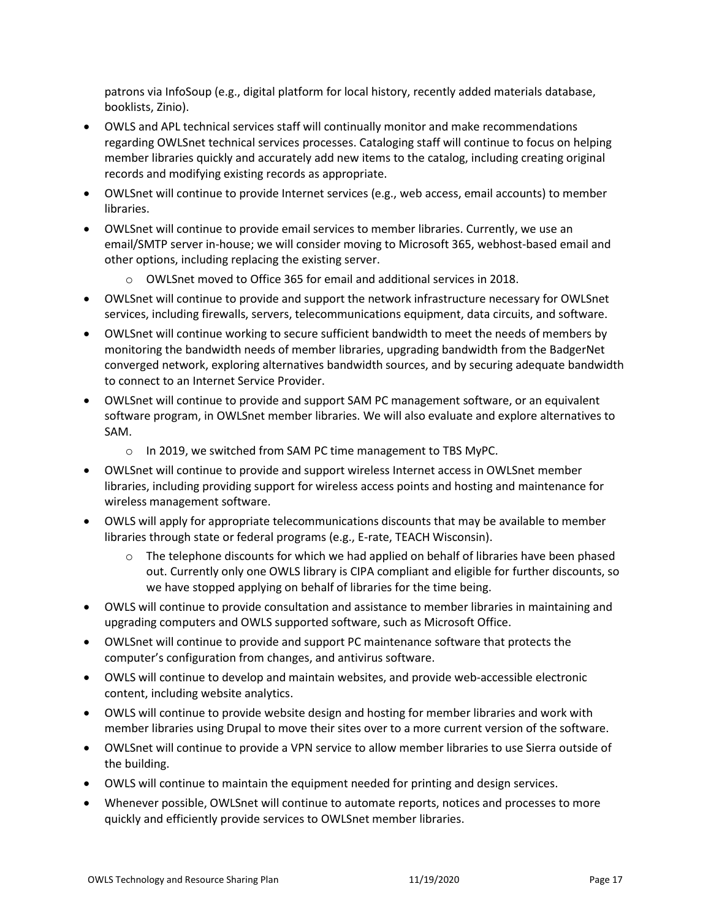patrons via InfoSoup (e.g., digital platform for local history, recently added materials database, booklists, Zinio).

- OWLS and APL technical services staff will continually monitor and make recommendations regarding OWLSnet technical services processes. Cataloging staff will continue to focus on helping member libraries quickly and accurately add new items to the catalog, including creating original records and modifying existing records as appropriate.
- OWLSnet will continue to provide Internet services (e.g., web access, email accounts) to member libraries.
- OWLSnet will continue to provide email services to member libraries. Currently, we use an email/SMTP server in-house; we will consider moving to Microsoft 365, webhost-based email and other options, including replacing the existing server.
	- o OWLSnet moved to Office 365 for email and additional services in 2018.
- OWLSnet will continue to provide and support the network infrastructure necessary for OWLSnet services, including firewalls, servers, telecommunications equipment, data circuits, and software.
- OWLSnet will continue working to secure sufficient bandwidth to meet the needs of members by monitoring the bandwidth needs of member libraries, upgrading bandwidth from the BadgerNet converged network, exploring alternatives bandwidth sources, and by securing adequate bandwidth to connect to an Internet Service Provider.
- OWLSnet will continue to provide and support SAM PC management software, or an equivalent software program, in OWLSnet member libraries. We will also evaluate and explore alternatives to SAM.
	- o In 2019, we switched from SAM PC time management to TBS MyPC.
- OWLSnet will continue to provide and support wireless Internet access in OWLSnet member libraries, including providing support for wireless access points and hosting and maintenance for wireless management software.
- OWLS will apply for appropriate telecommunications discounts that may be available to member libraries through state or federal programs (e.g., E-rate, TEACH Wisconsin).
	- $\circ$  The telephone discounts for which we had applied on behalf of libraries have been phased out. Currently only one OWLS library is CIPA compliant and eligible for further discounts, so we have stopped applying on behalf of libraries for the time being.
- OWLS will continue to provide consultation and assistance to member libraries in maintaining and upgrading computers and OWLS supported software, such as Microsoft Office.
- OWLSnet will continue to provide and support PC maintenance software that protects the computer's configuration from changes, and antivirus software.
- OWLS will continue to develop and maintain websites, and provide web-accessible electronic content, including website analytics.
- OWLS will continue to provide website design and hosting for member libraries and work with member libraries using Drupal to move their sites over to a more current version of the software.
- OWLSnet will continue to provide a VPN service to allow member libraries to use Sierra outside of the building.
- OWLS will continue to maintain the equipment needed for printing and design services.
- Whenever possible, OWLSnet will continue to automate reports, notices and processes to more quickly and efficiently provide services to OWLSnet member libraries.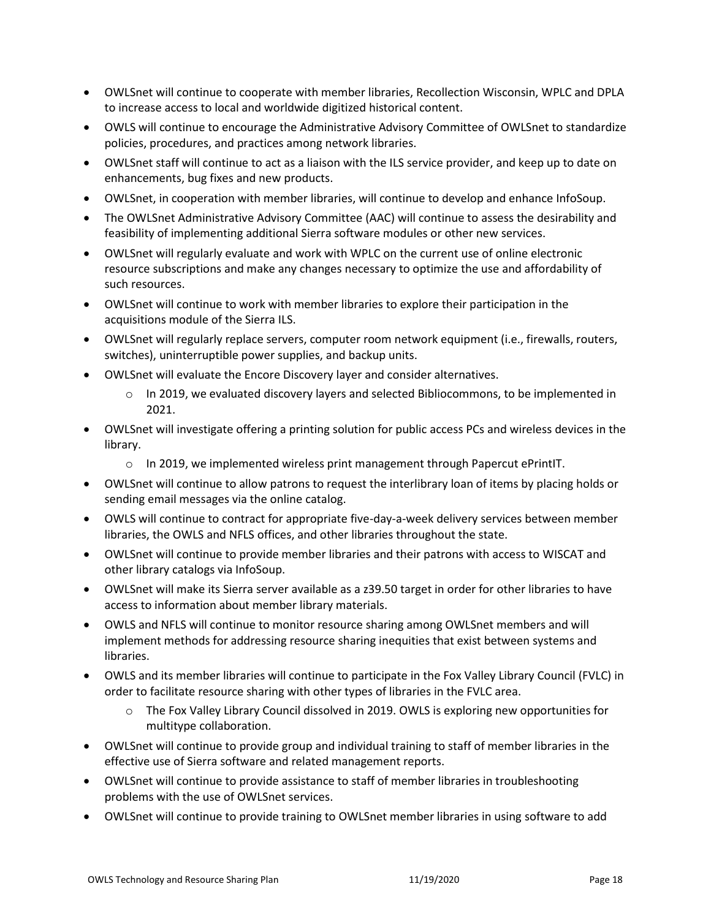- OWLSnet will continue to cooperate with member libraries, Recollection Wisconsin, WPLC and DPLA to increase access to local and worldwide digitized historical content.
- OWLS will continue to encourage the Administrative Advisory Committee of OWLSnet to standardize policies, procedures, and practices among network libraries.
- OWLSnet staff will continue to act as a liaison with the ILS service provider, and keep up to date on enhancements, bug fixes and new products.
- OWLSnet, in cooperation with member libraries, will continue to develop and enhance InfoSoup.
- The OWLSnet Administrative Advisory Committee (AAC) will continue to assess the desirability and feasibility of implementing additional Sierra software modules or other new services.
- OWLSnet will regularly evaluate and work with WPLC on the current use of online electronic resource subscriptions and make any changes necessary to optimize the use and affordability of such resources.
- OWLSnet will continue to work with member libraries to explore their participation in the acquisitions module of the Sierra ILS.
- OWLSnet will regularly replace servers, computer room network equipment (i.e., firewalls, routers, switches), uninterruptible power supplies, and backup units.
- OWLSnet will evaluate the Encore Discovery layer and consider alternatives.
	- $\circ$  In 2019, we evaluated discovery layers and selected Bibliocommons, to be implemented in 2021.
- OWLSnet will investigate offering a printing solution for public access PCs and wireless devices in the library.
	- o In 2019, we implemented wireless print management through Papercut ePrintIT.
- OWLSnet will continue to allow patrons to request the interlibrary loan of items by placing holds or sending email messages via the online catalog.
- OWLS will continue to contract for appropriate five-day-a-week delivery services between member libraries, the OWLS and NFLS offices, and other libraries throughout the state.
- OWLSnet will continue to provide member libraries and their patrons with access to WISCAT and other library catalogs via InfoSoup.
- OWLSnet will make its Sierra server available as a z39.50 target in order for other libraries to have access to information about member library materials.
- OWLS and NFLS will continue to monitor resource sharing among OWLSnet members and will implement methods for addressing resource sharing inequities that exist between systems and libraries.
- OWLS and its member libraries will continue to participate in the Fox Valley Library Council (FVLC) in order to facilitate resource sharing with other types of libraries in the FVLC area.
	- o The Fox Valley Library Council dissolved in 2019. OWLS is exploring new opportunities for multitype collaboration.
- OWLSnet will continue to provide group and individual training to staff of member libraries in the effective use of Sierra software and related management reports.
- OWLSnet will continue to provide assistance to staff of member libraries in troubleshooting problems with the use of OWLSnet services.
- OWLSnet will continue to provide training to OWLSnet member libraries in using software to add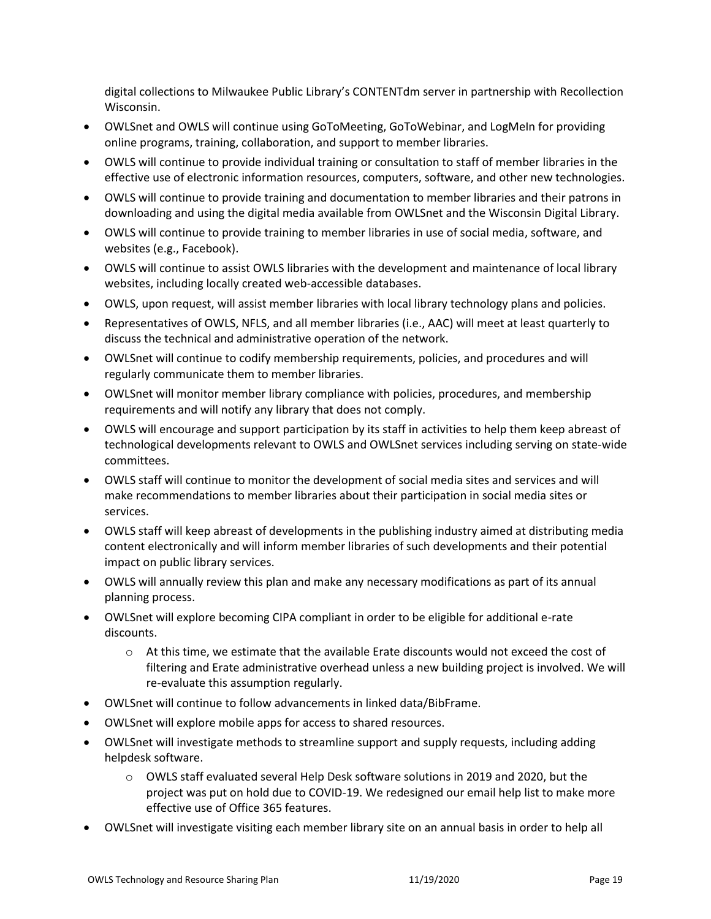digital collections to Milwaukee Public Library's CONTENTdm server in partnership with Recollection Wisconsin.

- OWLSnet and OWLS will continue using GoToMeeting, GoToWebinar, and LogMeIn for providing online programs, training, collaboration, and support to member libraries.
- OWLS will continue to provide individual training or consultation to staff of member libraries in the effective use of electronic information resources, computers, software, and other new technologies.
- OWLS will continue to provide training and documentation to member libraries and their patrons in downloading and using the digital media available from OWLSnet and the Wisconsin Digital Library.
- OWLS will continue to provide training to member libraries in use of social media, software, and websites (e.g., Facebook).
- OWLS will continue to assist OWLS libraries with the development and maintenance of local library websites, including locally created web-accessible databases.
- OWLS, upon request, will assist member libraries with local library technology plans and policies.
- Representatives of OWLS, NFLS, and all member libraries (i.e., AAC) will meet at least quarterly to discuss the technical and administrative operation of the network.
- OWLSnet will continue to codify membership requirements, policies, and procedures and will regularly communicate them to member libraries.
- OWLSnet will monitor member library compliance with policies, procedures, and membership requirements and will notify any library that does not comply.
- OWLS will encourage and support participation by its staff in activities to help them keep abreast of technological developments relevant to OWLS and OWLSnet services including serving on state-wide committees.
- OWLS staff will continue to monitor the development of social media sites and services and will make recommendations to member libraries about their participation in social media sites or services.
- OWLS staff will keep abreast of developments in the publishing industry aimed at distributing media content electronically and will inform member libraries of such developments and their potential impact on public library services.
- OWLS will annually review this plan and make any necessary modifications as part of its annual planning process.
- OWLSnet will explore becoming CIPA compliant in order to be eligible for additional e-rate discounts.
	- $\circ$  At this time, we estimate that the available Erate discounts would not exceed the cost of filtering and Erate administrative overhead unless a new building project is involved. We will re-evaluate this assumption regularly.
- OWLSnet will continue to follow advancements in linked data/BibFrame.
- OWLSnet will explore mobile apps for access to shared resources.
- OWLSnet will investigate methods to streamline support and supply requests, including adding helpdesk software.
	- o OWLS staff evaluated several Help Desk software solutions in 2019 and 2020, but the project was put on hold due to COVID-19. We redesigned our email help list to make more effective use of Office 365 features.
- OWLSnet will investigate visiting each member library site on an annual basis in order to help all